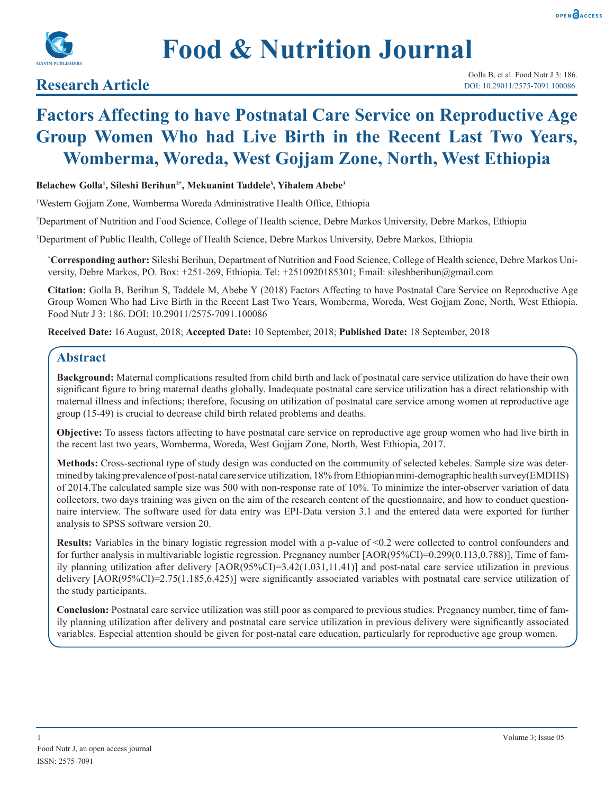



# **Food & Nutrition Journal**

## **Research Article**

## **Factors Affecting to have Postnatal Care Service on Reproductive Age Group Women Who had Live Birth in the Recent Last Two Years, Womberma, Woreda, West Gojjam Zone, North, West Ethiopia**

#### **Belachew Golla1 , Sileshi Berihun2\*, Mekuanint Taddele3 , Yihalem Abebe3**

1 Western Gojjam Zone, Womberma Woreda Administrative Health Office, Ethiopia

2 Department of Nutrition and Food Science, College of Health science, Debre Markos University, Debre Markos, Ethiopia

3 Department of Public Health, College of Health Science, Debre Markos University, Debre Markos, Ethiopia

**\* Corresponding author:** Sileshi Berihun, Department of Nutrition and Food Science, College of Health science, Debre Markos University, Debre Markos, PO. Box: +251-269, Ethiopia. Tel: +2510920185301; Email: sileshberihun@gmail.com

**Citation:** Golla B, Berihun S, Taddele M, Abebe Y (2018) Factors Affecting to have Postnatal Care Service on Reproductive Age Group Women Who had Live Birth in the Recent Last Two Years, Womberma, Woreda, West Gojjam Zone, North, West Ethiopia. Food Nutr J 3: 186. DOI: 10.29011/2575-7091.100086

**Received Date:** 16 August, 2018; **Accepted Date:** 10 September, 2018; **Published Date:** 18 September, 2018

## **Abstract**

**Background:** Maternal complications resulted from child birth and lack of postnatal care service utilization do have their own significant figure to bring maternal deaths globally. Inadequate postnatal care service utilization has a direct relationship with maternal illness and infections; therefore, focusing on utilization of postnatal care service among women at reproductive age group (15-49) is crucial to decrease child birth related problems and deaths.

**Objective:** To assess factors affecting to have postnatal care service on reproductive age group women who had live birth in the recent last two years, Womberma, Woreda, West Gojjam Zone, North, West Ethiopia, 2017.

**Methods:** Cross-sectional type of study design was conducted on the community of selected kebeles. Sample size was determined by taking prevalence of post-natal care service utilization, 18% from Ethiopian mini-demographic health survey(EMDHS) of 2014.The calculated sample size was 500 with non-response rate of 10%. To minimize the inter-observer variation of data collectors, two days training was given on the aim of the research content of the questionnaire, and how to conduct questionnaire interview. The software used for data entry was EPI-Data version 3.1 and the entered data were exported for further analysis to SPSS software version 20.

**Results:** Variables in the binary logistic regression model with a p-value of <0.2 were collected to control confounders and for further analysis in multivariable logistic regression. Pregnancy number [AOR(95%CI)=0.299(0.113,0.788)], Time of family planning utilization after delivery [AOR(95%CI)=3.42(1.031,11.41)] and post-natal care service utilization in previous delivery [AOR(95%CI)=2.75(1.185,6.425)] were significantly associated variables with postnatal care service utilization of the study participants.

**Conclusion:** Postnatal care service utilization was still poor as compared to previous studies. Pregnancy number, time of family planning utilization after delivery and postnatal care service utilization in previous delivery were significantly associated variables. Especial attention should be given for post-natal care education, particularly for reproductive age group women.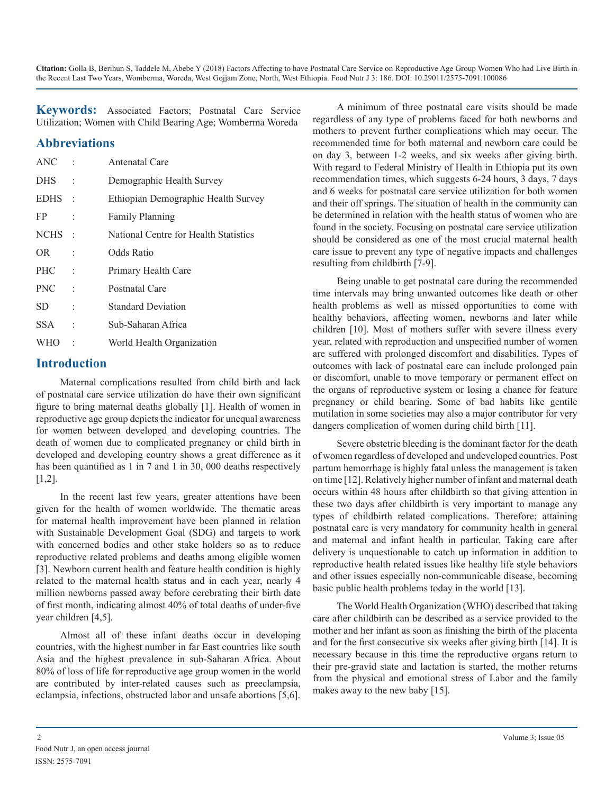**Keywords:** Associated Factors; Postnatal Care Service Utilization; Women with Child Bearing Age; Womberma Woreda

## **Abbreviations**

| ANC         |                          | Antenatal Care                        |
|-------------|--------------------------|---------------------------------------|
| <b>DHS</b>  | t                        | Demographic Health Survey             |
| <b>EDHS</b> | $\sim$ 1                 | Ethiopian Demographic Health Survey   |
| FP.         |                          | <b>Family Planning</b>                |
| <b>NCHS</b> | $\mathcal{C}$            | National Centre for Health Statistics |
| OR.         | $\ddot{\phantom{a}}$     | Odds Ratio                            |
| <b>PHC</b>  | $\ddot{\phantom{a}}$     | Primary Health Care                   |
| <b>PNC</b>  | $\overline{\phantom{a}}$ | Postnatal Care                        |
| <b>SD</b>   | t                        | <b>Standard Deviation</b>             |
| <b>SSA</b>  | $\ddot{\phantom{0}}$     | Sub-Saharan Africa                    |
| <b>WHO</b>  |                          | World Health Organization             |

## **Introduction**

Maternal complications resulted from child birth and lack of postnatal care service utilization do have their own significant figure to bring maternal deaths globally [1]. Health of women in reproductive age group depicts the indicator for unequal awareness for women between developed and developing countries. The death of women due to complicated pregnancy or child birth in developed and developing country shows a great difference as it has been quantified as 1 in 7 and 1 in 30, 000 deaths respectively [1,2].

In the recent last few years, greater attentions have been given for the health of women worldwide. The thematic areas for maternal health improvement have been planned in relation with Sustainable Development Goal (SDG) and targets to work with concerned bodies and other stake holders so as to reduce reproductive related problems and deaths among eligible women [3]. Newborn current health and feature health condition is highly related to the maternal health status and in each year, nearly 4 million newborns passed away before cerebrating their birth date of first month, indicating almost 40% of total deaths of under-five year children [4,5].

Almost all of these infant deaths occur in developing countries, with the highest number in far East countries like south Asia and the highest prevalence in sub-Saharan Africa. About 80% of loss of life for reproductive age group women in the world are contributed by inter-related causes such as preeclampsia, eclampsia, infections, obstructed labor and unsafe abortions [5,6].

A minimum of three postnatal care visits should be made regardless of any type of problems faced for both newborns and mothers to prevent further complications which may occur. The recommended time for both maternal and newborn care could be on day 3, between 1-2 weeks, and six weeks after giving birth. With regard to Federal Ministry of Health in Ethiopia put its own recommendation times, which suggests 6-24 hours, 3 days, 7 days and 6 weeks for postnatal care service utilization for both women and their off springs. The situation of health in the community can be determined in relation with the health status of women who are found in the society. Focusing on postnatal care service utilization should be considered as one of the most crucial maternal health care issue to prevent any type of negative impacts and challenges resulting from childbirth [7-9].

Being unable to get postnatal care during the recommended time intervals may bring unwanted outcomes like death or other health problems as well as missed opportunities to come with healthy behaviors, affecting women, newborns and later while children [10]. Most of mothers suffer with severe illness every year, related with reproduction and unspecified number of women are suffered with prolonged discomfort and disabilities. Types of outcomes with lack of postnatal care can include prolonged pain or discomfort, unable to move temporary or permanent effect on the organs of reproductive system or losing a chance for feature pregnancy or child bearing. Some of bad habits like gentile mutilation in some societies may also a major contributor for very dangers complication of women during child birth [11].

Severe obstetric bleeding is the dominant factor for the death of women regardless of developed and undeveloped countries. Post partum hemorrhage is highly fatal unless the management is taken on time [12]. Relatively higher number of infant and maternal death occurs within 48 hours after childbirth so that giving attention in these two days after childbirth is very important to manage any types of childbirth related complications. Therefore; attaining postnatal care is very mandatory for community health in general and maternal and infant health in particular. Taking care after delivery is unquestionable to catch up information in addition to reproductive health related issues like healthy life style behaviors and other issues especially non-communicable disease, becoming basic public health problems today in the world [13].

The World Health Organization (WHO) described that taking care after childbirth can be described as a service provided to the mother and her infant as soon as finishing the birth of the placenta and for the first consecutive six weeks after giving birth [14]. It is necessary because in this time the reproductive organs return to their pre-gravid state and lactation is started, the mother returns from the physical and emotional stress of Labor and the family makes away to the new baby [15].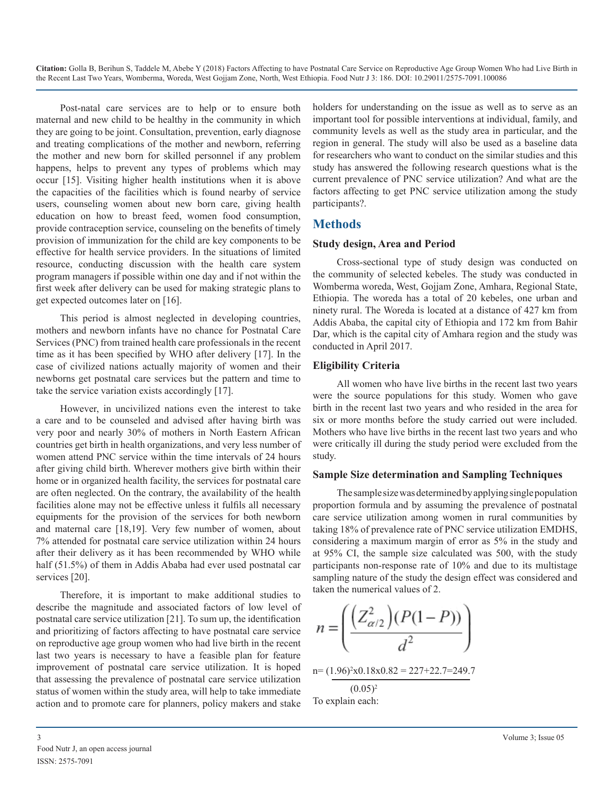Post-natal care services are to help or to ensure both maternal and new child to be healthy in the community in which they are going to be joint. Consultation, prevention, early diagnose and treating complications of the mother and newborn, referring the mother and new born for skilled personnel if any problem happens, helps to prevent any types of problems which may occur [15]. Visiting higher health institutions when it is above the capacities of the facilities which is found nearby of service users, counseling women about new born care, giving health education on how to breast feed, women food consumption, provide contraception service, counseling on the benefits of timely provision of immunization for the child are key components to be effective for health service providers. In the situations of limited resource, conducting discussion with the health care system program managers if possible within one day and if not within the first week after delivery can be used for making strategic plans to get expected outcomes later on [16].

This period is almost neglected in developing countries, mothers and newborn infants have no chance for Postnatal Care Services (PNC) from trained health care professionals in the recent time as it has been specified by WHO after delivery [17]. In the case of civilized nations actually majority of women and their newborns get postnatal care services but the pattern and time to take the service variation exists accordingly [17].

However, in uncivilized nations even the interest to take a care and to be counseled and advised after having birth was very poor and nearly 30% of mothers in North Eastern African countries get birth in health organizations, and very less number of women attend PNC service within the time intervals of 24 hours after giving child birth. Wherever mothers give birth within their home or in organized health facility, the services for postnatal care are often neglected. On the contrary, the availability of the health facilities alone may not be effective unless it fulfils all necessary equipments for the provision of the services for both newborn and maternal care [18,19]. Very few number of women, about 7% attended for postnatal care service utilization within 24 hours after their delivery as it has been recommended by WHO while half (51.5%) of them in Addis Ababa had ever used postnatal car services [20].

Therefore, it is important to make additional studies to describe the magnitude and associated factors of low level of postnatal care service utilization [21]. To sum up, the identification and prioritizing of factors affecting to have postnatal care service on reproductive age group women who had live birth in the recent last two years is necessary to have a feasible plan for feature improvement of postnatal care service utilization. It is hoped that assessing the prevalence of postnatal care service utilization status of women within the study area, will help to take immediate action and to promote care for planners, policy makers and stake

holders for understanding on the issue as well as to serve as an important tool for possible interventions at individual, family, and community levels as well as the study area in particular, and the region in general. The study will also be used as a baseline data for researchers who want to conduct on the similar studies and this study has answered the following research questions what is the current prevalence of PNC service utilization? And what are the factors affecting to get PNC service utilization among the study participants?.

## **Methods**

#### **Study design, Area and Period**

Cross-sectional type of study design was conducted on the community of selected kebeles. The study was conducted in Womberma woreda, West, Gojjam Zone, Amhara, Regional State, Ethiopia. The woreda has a total of 20 kebeles, one urban and ninety rural. The Woreda is located at a distance of 427 km from Addis Ababa, the capital city of Ethiopia and 172 km from Bahir Dar, which is the capital city of Amhara region and the study was conducted in April 2017.

#### **Eligibility Criteria**

All women who have live births in the recent last two years were the source populations for this study. Women who gave birth in the recent last two years and who resided in the area for six or more months before the study carried out were included. Mothers who have live births in the recent last two years and who were critically ill during the study period were excluded from the study.

#### **Sample Size determination and Sampling Techniques**

The sample size was determined by applying single population proportion formula and by assuming the prevalence of postnatal care service utilization among women in rural communities by taking 18% of prevalence rate of PNC service utilization EMDHS, considering a maximum margin of error as 5% in the study and at 95% CI, the sample size calculated was 500, with the study participants non-response rate of 10% and due to its multistage sampling nature of the study the design effect was considered and taken the numerical values of 2.

$$
n = \left(\frac{\left(Z_{\alpha/2}^2\right)(P(1-P))}{d^2}\right)
$$

n= (1.96)<sup>2</sup> x0.18x0.82 = 227+22.7=249.7

$$
(0.05)^2
$$
  
To explain each: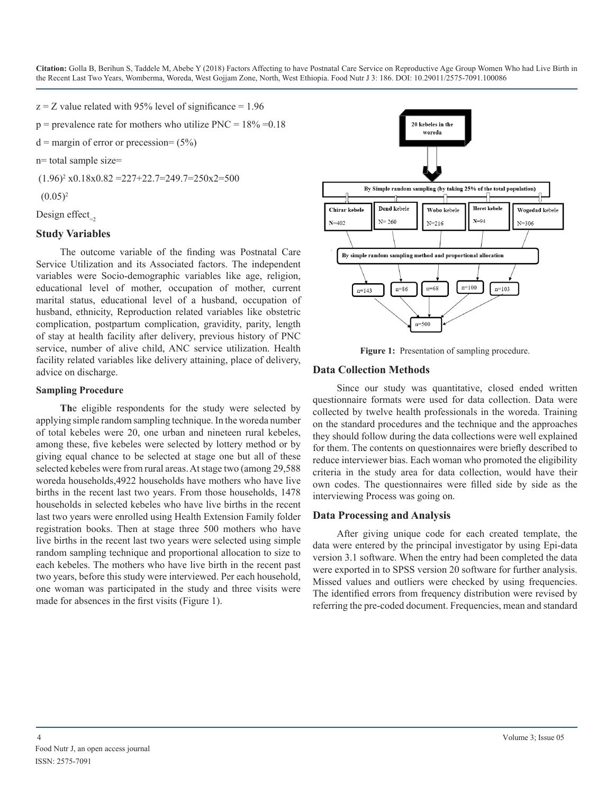$z = Z$  value related with 95% level of significance = 1.96

 $p =$  prevalence rate for mothers who utilize PNC =  $18\% = 0.18$ 

 $d =$  margin of error or precession=  $(5\%)$ 

n= total sample size=

 $(1.96)^2$  x0.18x0.82 = 227+22.7=249.7=250x2=500

 $(0.05)^2$ 

Design effect $_{-2}$ 

#### **Study Variables**

The outcome variable of the finding was Postnatal Care Service Utilization and its Associated factors. The independent variables were Socio-demographic variables like age, religion, educational level of mother, occupation of mother, current marital status, educational level of a husband, occupation of husband, ethnicity, Reproduction related variables like obstetric complication, postpartum complication, gravidity, parity, length of stay at health facility after delivery, previous history of PNC service, number of alive child, ANC service utilization. Health facility related variables like delivery attaining, place of delivery, advice on discharge.

#### **Sampling Procedure**

**Th**e eligible respondents for the study were selected by applying simple random sampling technique. In the woreda number of total kebeles were 20, one urban and nineteen rural kebeles, among these, five kebeles were selected by lottery method or by giving equal chance to be selected at stage one but all of these selected kebeles were from rural areas. At stage two (among 29,588 woreda households,4922 households have mothers who have live births in the recent last two years. From those households, 1478 households in selected kebeles who have live births in the recent last two years were enrolled using Health Extension Family folder registration books. Then at stage three 500 mothers who have live births in the recent last two years were selected using simple random sampling technique and proportional allocation to size to each kebeles. The mothers who have live birth in the recent past two years, before this study were interviewed. Per each household, one woman was participated in the study and three visits were made for absences in the first visits (Figure 1).



**Figure 1:** Presentation of sampling procedure.

#### **Data Collection Methods**

Since our study was quantitative, closed ended written questionnaire formats were used for data collection. Data were collected by twelve health professionals in the woreda. Training on the standard procedures and the technique and the approaches they should follow during the data collections were well explained for them. The contents on questionnaires were briefly described to reduce interviewer bias. Each woman who promoted the eligibility criteria in the study area for data collection, would have their own codes. The questionnaires were filled side by side as the interviewing Process was going on.

#### **Data Processing and Analysis**

After giving unique code for each created template, the data were entered by the principal investigator by using Epi-data version 3.1 software. When the entry had been completed the data were exported in to SPSS version 20 software for further analysis. Missed values and outliers were checked by using frequencies. The identified errors from frequency distribution were revised by referring the pre-coded document. Frequencies, mean and standard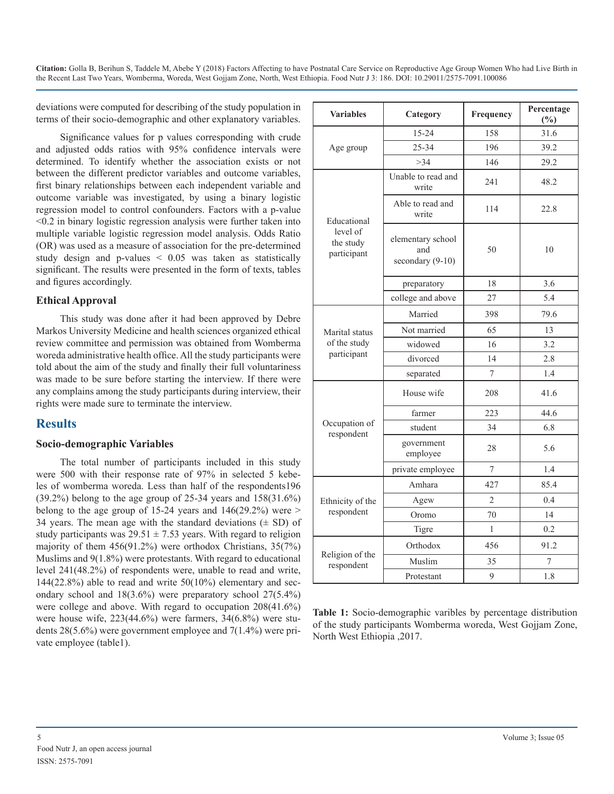deviations were computed for describing of the study population in terms of their socio-demographic and other explanatory variables.

Significance values for p values corresponding with crude and adjusted odds ratios with 95% confidence intervals were determined. To identify whether the association exists or not between the different predictor variables and outcome variables, first binary relationships between each independent variable and outcome variable was investigated, by using a binary logistic regression model to control confounders. Factors with a p-value <0.2 in binary logistic regression analysis were further taken into multiple variable logistic regression model analysis. Odds Ratio (OR) was used as a measure of association for the pre-determined study design and p-values < 0.05 was taken as statistically significant. The results were presented in the form of texts, tables and figures accordingly.

#### **Ethical Approval**

This study was done after it had been approved by Debre Markos University Medicine and health sciences organized ethical review committee and permission was obtained from Womberma woreda administrative health office. All the study participants were told about the aim of the study and finally their full voluntariness was made to be sure before starting the interview. If there were any complains among the study participants during interview, their rights were made sure to terminate the interview.

## **Results**

#### **Socio-demographic Variables**

The total number of participants included in this study were 500 with their response rate of 97% in selected 5 kebeles of womberma woreda. Less than half of the respondents196 (39.2%) belong to the age group of 25-34 years and 158(31.6%) belong to the age group of 15-24 years and  $146(29.2%)$  were  $>$ 34 years. The mean age with the standard deviations  $(\pm SD)$  of study participants was  $29.51 \pm 7.53$  years. With regard to religion majority of them 456(91.2%) were orthodox Christians, 35(7%) Muslims and 9(1.8%) were protestants. With regard to educational level 241(48.2%) of respondents were, unable to read and write,  $144(22.8%)$  able to read and write  $50(10%)$  elementary and secondary school and 18(3.6%) were preparatory school 27(5.4%) were college and above. With regard to occupation 208(41.6%) were house wife, 223(44.6%) were farmers, 34(6.8%) were students 28(5.6%) were government employee and 7(1.4%) were private employee (table1).

| <b>Variables</b><br>Category         |                                                | Frequency | Percentage<br>$(\%)$ |  |
|--------------------------------------|------------------------------------------------|-----------|----------------------|--|
|                                      | $15 - 24$                                      | 158       | 31.6                 |  |
| Age group                            | 25-34                                          | 196       | 39.2                 |  |
|                                      | >34                                            | 146       | 29.2                 |  |
|                                      | Unable to read and<br>write                    | 241       | 48.2                 |  |
| Educational                          | Able to read and<br>write                      | 114       | 22.8                 |  |
| level of<br>the study<br>participant | elementary school<br>and<br>secondary $(9-10)$ | 50<br>10  |                      |  |
|                                      | preparatory                                    | 18        | 3.6                  |  |
|                                      | college and above                              | 27        | 5.4                  |  |
|                                      | Married                                        | 398       | 79.6                 |  |
| Marital status                       | Not married                                    | 65        | 13                   |  |
| of the study                         | widowed                                        | 16        | 3.2                  |  |
| participant                          | divorced                                       | 14        | 2.8                  |  |
|                                      | separated                                      | 7         | 1.4                  |  |
|                                      | House wife                                     | 208       | 41.6                 |  |
|                                      | farmer                                         | 223       | 44.6                 |  |
| Occupation of<br>respondent          | student                                        | 34        | 6.8                  |  |
|                                      | government<br>employee                         | 28        | 5.6                  |  |
|                                      | private employee                               | 7         | 1.4                  |  |
|                                      | Amhara                                         | 427       | 85.4                 |  |
| Ethnicity of the                     | Agew                                           | 2         | 0.4                  |  |
| respondent                           | Oromo                                          | 70        | 14                   |  |
|                                      | Tigre                                          | 1         | 0.2                  |  |
|                                      | Orthodox                                       | 456       | 91.2                 |  |
| Religion of the<br>respondent        | Muslim                                         | 35        | 7                    |  |
|                                      | Protestant                                     | 9         | 1.8                  |  |

**Table 1:** Socio-demographic varibles by percentage distribution of the study participants Womberma woreda, West Gojjam Zone, North West Ethiopia ,2017.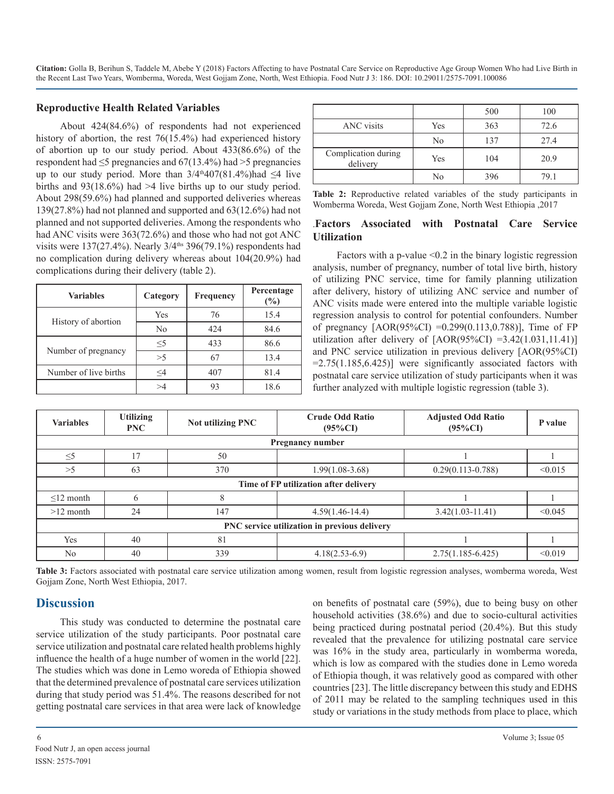#### **Reproductive Health Related Variables**

About 424(84.6%) of respondents had not experienced history of abortion, the rest 76(15.4%) had experienced history of abortion up to our study period. About 433(86.6%) of the respondent had  $\leq$ 5 pregnancies and 67(13.4%) had >5 pregnancies up to our study period. More than  $3/4^{th}407(81.4\%)$ had  $\leq 4$  live births and 93(18.6%) had >4 live births up to our study period. About 298(59.6%) had planned and supported deliveries whereas 139(27.8%) had not planned and supported and 63(12.6%) had not planned and not supported deliveries. Among the respondents who had ANC visits were  $363(72.6%)$  and those who had not got ANC visits were  $137(27.4\%)$ . Nearly  $3/4$ <sup>ths</sup>  $396(79.1\%)$  respondents had no complication during delivery whereas about 104(20.9%) had complications during their delivery (table 2).

| <b>Variables</b>      | Category | Frequency | Percentage<br>$\frac{6}{6}$ |  |
|-----------------------|----------|-----------|-----------------------------|--|
| History of abortion   | Yes      | 76        | 15.4                        |  |
|                       | No       | 424       | 84.6                        |  |
|                       | $\leq$ 5 | 433       | 86.6                        |  |
| Number of pregnancy   | >5       | 67        | 13.4                        |  |
| Number of live births | <4       | 407       | 81.4                        |  |
|                       |          | 93        | 18.6                        |  |

|                                 |     | 500 | 100  |
|---------------------------------|-----|-----|------|
| <b>ANC</b> visits               | Yes | 363 | 72.6 |
|                                 | No  | 137 | 27.4 |
| Complication during<br>delivery | Yes | 104 | 20.9 |
|                                 | No  | 396 | 79 1 |

**Table 2:** Reproductive related variables of the study participants in Womberma Woreda, West Gojjam Zone, North West Ethiopia ,2017

#### .**Factors Associated with Postnatal Care Service Utilization**

Factors with a p-value  $\leq 0.2$  in the binary logistic regression analysis, number of pregnancy, number of total live birth, history of utilizing PNC service, time for family planning utilization after delivery, history of utilizing ANC service and number of ANC visits made were entered into the multiple variable logistic regression analysis to control for potential confounders. Number of pregnancy  $[AOR(95\%CI) = 0.299(0.113, 0.788)]$ , Time of FP utilization after delivery of  $[AOR(95\%CI) = 3.42(1.031,11.41)]$ and PNC service utilization in previous delivery [AOR(95%CI)  $=2.75(1.185, 6.425)$ ] were significantly associated factors with postnatal care service utilization of study participants when it was further analyzed with multiple logistic regression (table 3).

| <b>Variables</b>                             | <b>Utilizing</b><br><b>PNC</b> | Not utilizing PNC | <b>Crude Odd Ratio</b><br>$(95\%CI)$ | <b>Adjusted Odd Ratio</b><br>$(95\%CI)$ | P value |  |  |
|----------------------------------------------|--------------------------------|-------------------|--------------------------------------|-----------------------------------------|---------|--|--|
| <b>Pregnancy number</b>                      |                                |                   |                                      |                                         |         |  |  |
| $\leq 5$                                     | $\overline{7}$                 | 50                |                                      |                                         |         |  |  |
| >5                                           | 63                             | 370               | $1.99(1.08-3.68)$                    | $0.29(0.113 - 0.788)$                   | < 0.015 |  |  |
| Time of FP utilization after delivery        |                                |                   |                                      |                                         |         |  |  |
| $\leq$ 12 month                              | h                              |                   |                                      |                                         |         |  |  |
| $>12$ month                                  | 24                             | 147               | $4.59(1.46 - 14.4)$                  | $3.42(1.03 - 11.41)$                    | < 0.045 |  |  |
| PNC service utilization in previous delivery |                                |                   |                                      |                                         |         |  |  |
| <b>Yes</b>                                   | 40                             | 81                |                                      |                                         |         |  |  |
| N <sub>0</sub>                               | 40                             | 339               | $4.18(2.53-6.9)$                     | $2.75(1.185 - 6.425)$                   | < 0.019 |  |  |

**Table 3:** Factors associated with postnatal care service utilization among women, result from logistic regression analyses, womberma woreda, West Gojjam Zone, North West Ethiopia, 2017.

#### **Discussion**

This study was conducted to determine the postnatal care service utilization of the study participants. Poor postnatal care service utilization and postnatal care related health problems highly influence the health of a huge number of women in the world [22]. The studies which was done in Lemo woreda of Ethiopia showed that the determined prevalence of postnatal care services utilization during that study period was 51.4%. The reasons described for not getting postnatal care services in that area were lack of knowledge on benefits of postnatal care (59%), due to being busy on other household activities (38.6%) and due to socio-cultural activities being practiced during postnatal period (20.4%). But this study revealed that the prevalence for utilizing postnatal care service was 16% in the study area, particularly in womberma woreda, which is low as compared with the studies done in Lemo woreda of Ethiopia though, it was relatively good as compared with other countries [23]. The little discrepancy between this study and EDHS of 2011 may be related to the sampling techniques used in this study or variations in the study methods from place to place, which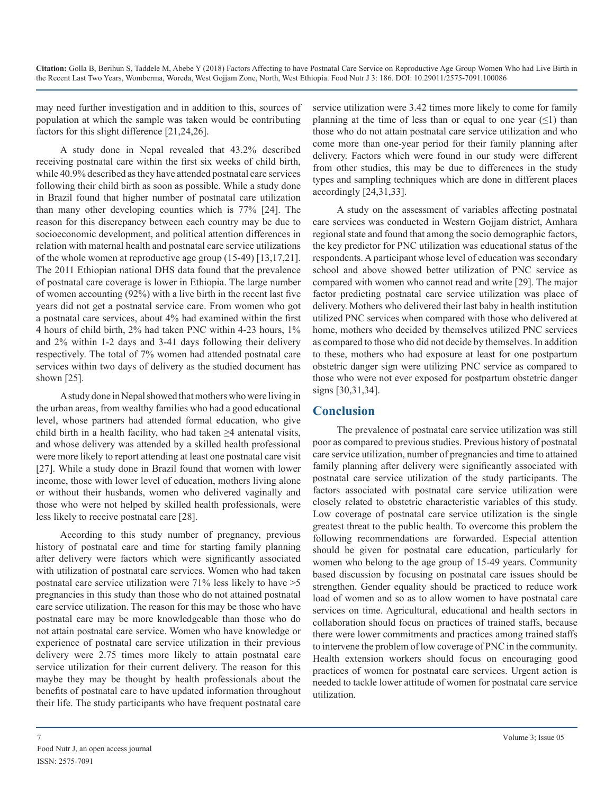may need further investigation and in addition to this, sources of population at which the sample was taken would be contributing factors for this slight difference [21,24,26].

A study done in Nepal revealed that 43.2% described receiving postnatal care within the first six weeks of child birth, while 40.9% described as they have attended postnatal care services following their child birth as soon as possible. While a study done in Brazil found that higher number of postnatal care utilization than many other developing counties which is 77% [24]. The reason for this discrepancy between each country may be due to socioeconomic development, and political attention differences in relation with maternal health and postnatal care service utilizations of the whole women at reproductive age group (15-49) [13,17,21]. The 2011 Ethiopian national DHS data found that the prevalence of postnatal care coverage is lower in Ethiopia. The large number of women accounting (92%) with a live birth in the recent last five years did not get a postnatal service care. From women who got a postnatal care services, about 4% had examined within the first 4 hours of child birth, 2% had taken PNC within 4-23 hours, 1% and 2% within 1-2 days and 3-41 days following their delivery respectively. The total of 7% women had attended postnatal care services within two days of delivery as the studied document has shown [25].

A study done in Nepal showed that mothers who were living in the urban areas, from wealthy families who had a good educational level, whose partners had attended formal education, who give child birth in a health facility, who had taken  $\geq 4$  antenatal visits, and whose delivery was attended by a skilled health professional were more likely to report attending at least one postnatal care visit [27]. While a study done in Brazil found that women with lower income, those with lower level of education, mothers living alone or without their husbands, women who delivered vaginally and those who were not helped by skilled health professionals, were less likely to receive postnatal care [28].

According to this study number of pregnancy, previous history of postnatal care and time for starting family planning after delivery were factors which were significantly associated with utilization of postnatal care services. Women who had taken postnatal care service utilization were 71% less likely to have >5 pregnancies in this study than those who do not attained postnatal care service utilization. The reason for this may be those who have postnatal care may be more knowledgeable than those who do not attain postnatal care service. Women who have knowledge or experience of postnatal care service utilization in their previous delivery were 2.75 times more likely to attain postnatal care service utilization for their current delivery. The reason for this maybe they may be thought by health professionals about the benefits of postnatal care to have updated information throughout their life. The study participants who have frequent postnatal care

service utilization were 3.42 times more likely to come for family planning at the time of less than or equal to one year  $(\leq)$  than those who do not attain postnatal care service utilization and who come more than one-year period for their family planning after delivery. Factors which were found in our study were different from other studies, this may be due to differences in the study types and sampling techniques which are done in different places accordingly [24,31,33].

A study on the assessment of variables affecting postnatal care services was conducted in Western Gojjam district, Amhara regional state and found that among the socio demographic factors, the key predictor for PNC utilization was educational status of the respondents. A participant whose level of education was secondary school and above showed better utilization of PNC service as compared with women who cannot read and write [29]. The major factor predicting postnatal care service utilization was place of delivery. Mothers who delivered their last baby in health institution utilized PNC services when compared with those who delivered at home, mothers who decided by themselves utilized PNC services as compared to those who did not decide by themselves. In addition to these, mothers who had exposure at least for one postpartum obstetric danger sign were utilizing PNC service as compared to those who were not ever exposed for postpartum obstetric danger signs [30,31,34].

## **Conclusion**

The prevalence of postnatal care service utilization was still poor as compared to previous studies. Previous history of postnatal care service utilization, number of pregnancies and time to attained family planning after delivery were significantly associated with postnatal care service utilization of the study participants. The factors associated with postnatal care service utilization were closely related to obstetric characteristic variables of this study. Low coverage of postnatal care service utilization is the single greatest threat to the public health. To overcome this problem the following recommendations are forwarded. Especial attention should be given for postnatal care education, particularly for women who belong to the age group of 15-49 years. Community based discussion by focusing on postnatal care issues should be strengthen. Gender equality should be practiced to reduce work load of women and so as to allow women to have postnatal care services on time. Agricultural, educational and health sectors in collaboration should focus on practices of trained staffs, because there were lower commitments and practices among trained staffs to intervene the problem of low coverage of PNC in the community. Health extension workers should focus on encouraging good practices of women for postnatal care services. Urgent action is needed to tackle lower attitude of women for postnatal care service utilization.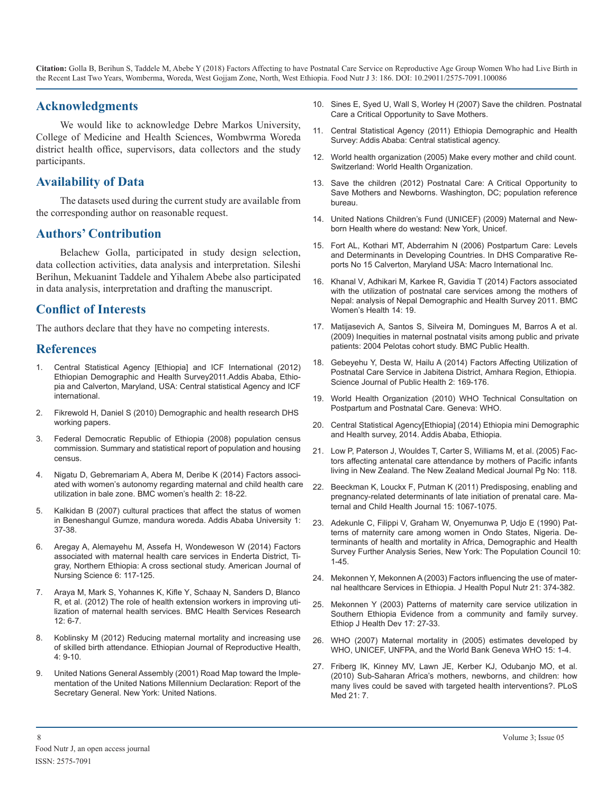#### **Acknowledgments**

We would like to acknowledge Debre Markos University, College of Medicine and Health Sciences, Wombwrma Woreda district health office, supervisors, data collectors and the study participants.

#### **Availability of Data**

The datasets used during the current study are available from the corresponding author on reasonable request.

#### **Authors' Contribution**

Belachew Golla, participated in study design selection, data collection activities, data analysis and interpretation. Sileshi Berihun, Mekuanint Taddele and Yihalem Abebe also participated in data analysis, interpretation and drafting the manuscript.

#### **Conflict of Interests**

The authors declare that they have no competing interests.

#### **References**

- 1. [Central Statistical Agency \[Ethiopia\] and ICF International \(2012\)](https://www.unicef.org/ethiopia/ET_2011_EDHS.pdf)  Ethiopian Demographic and Health Survey2011.Addis Ababa, Ethio[pia and Calverton, Maryland, USA: Central statistical Agency and ICF](https://www.unicef.org/ethiopia/ET_2011_EDHS.pdf)  [international.](https://www.unicef.org/ethiopia/ET_2011_EDHS.pdf)
- 2. [Fikrewold H, Daniel S \(2010\) Demographic and health research DHS](https://dhsprogram.com/pubs/pdf/WP77/WP77.pdf) working papers.
- 3. Federal Democratic Republic of Ethiopia (2008) population census commission. Summary and statistical report of population and housing census.
- 4. Nigatu D, Gebremariam A, [Abera M, Deribe K \(2014\) Factors associ](https://bmcwomenshealth.biomedcentral.com/articles/10.1186/1472-6874-14-79)ated with women's autonomy regarding maternal and child health care [utilization in bale zone. BMC women's health 2: 18-22.](https://bmcwomenshealth.biomedcentral.com/articles/10.1186/1472-6874-14-79)
- 5. [Kalkidan B \(2007\) cultural practices that affect the status of women](http://etd.aau.edu.et/handle/123456789/7008?show=full)  in Beneshangul Gumze, mandura woreda. Addis Ababa University 1: [37-38.](http://etd.aau.edu.et/handle/123456789/7008?show=full)
- 6. [Aregay A, Alemayehu M, Assefa H, Wondeweson W \(2014\) Factors](http://www.sciencepublishinggroup.com/journal/paperinfo.aspx?journalid=152&doi=10.11648/j.ajns.2014)  associated with maternal health care services in Enderta District, Ti[gray, Northern Ethiopia: A cross sectional study. American Journal of](http://www.sciencepublishinggroup.com/journal/paperinfo.aspx?journalid=152&doi=10.11648/j.ajns.2014)  [Nursing Science 6: 117-125.](http://www.sciencepublishinggroup.com/journal/paperinfo.aspx?journalid=152&doi=10.11648/j.ajns.2014)
- 7. [Araya M, Mark S, Yohannes K, Kifle Y, Schaay N, Sanders D, Blanco](https://bmchealthservres.biomedcentral.com/articles/10.1186/1472-6963-12-352)  R, et al. (2012) The role of health extension workers in improving uti[lization of maternal health services. BMC Health Services Research](https://bmchealthservres.biomedcentral.com/articles/10.1186/1472-6963-12-352)   $12.6 - 7$
- Koblinsky M (2012) Reducing maternal mortality and increasing use of skilled birth attendance. Ethiopian Journal of Reproductive Health, 4: 9-10.
- 9. [United Nations General Assembly \(2001\) Road Map toward the Imple](http://www.un.org/documents/ga/docs/56/a56326.pdf)mentation of the United Nations Millennium Declaration: Report of the [Secretary General. New York: United Nations.](http://www.un.org/documents/ga/docs/56/a56326.pdf)
- 10. [Sines E, Syed U, Wall S, Worley H \(2007\) Save the children. Postnatal](https://www.prb.org/wp-content/uploads/2007/01/SNL_PNCBriefFinal.pdf)  Care a Critical Opportunity to Save Mothers.
- 11. [Central Statistical Agency \(2011\) Ethiopia Demographic and Health](https://dhsprogram.com/pubs/pdf/PR10/PR10.pdf)  Survey: Addis Ababa: Central statistical agency.
- 12. [World health organization \(2005\) Make every mother and child count.](http://www.who.int/whr/2005/en/)  Switzerland: World Health Organization.
- 13. [Save the children \(2012\) Postnatal Care: A Critical Opportunity to](https://www.researchgate.net/publication/242720964_Postnatal_Care_A_Critical_Opportunity_to_Save_Mothers_and_Newborns)  Save Mothers and Newborns. Washington, DC; population reference [bureau.](https://www.researchgate.net/publication/242720964_Postnatal_Care_A_Critical_Opportunity_to_Save_Mothers_and_Newborns)
- 14. [United Nations Children's Fund \(UNICEF\) \(2009\) Maternal and New](https://www.unicef.org/sowc09/docs/SOWC09-FullReport-EN.pdf)born Health where do westand: New York, Unicef.
- 15. [Fort AL, Kothari MT, Abderrahim N \(2006\) Postpartum Care: Levels](https://dhsprogram.com/publications/publication-cr15-comparative-reports.cfm)  and Determinants in Developing Countries. In DHS Comparative Re[ports No 15 Calverton, Maryland USA: Macro International Inc.](https://dhsprogram.com/publications/publication-cr15-comparative-reports.cfm)
- 16. [Khanal V, Adhikari M, Karkee R, Gavidia T \(2014\) Factors associated](https://www.ncbi.nlm.nih.gov/pubmed/24484933)  with the utilization of postnatal care services among the mothers of [Nepal: analysis of Nepal Demographic and Health Survey 2011. BMC](https://www.ncbi.nlm.nih.gov/pubmed/24484933)  [Women's Health 14: 19.](https://www.ncbi.nlm.nih.gov/pubmed/24484933)
- 17. [Matijasevich A, Santos S, Silveira M, Domingues M, Barros A et al.](https://www.ncbi.nlm.nih.gov/pubmed/19751521)  (2009) Inequities in maternal postnatal visits among public and privat[e](https://www.ncbi.nlm.nih.gov/pubmed/19751521)  [patients: 2004 Pelotas cohort study. BMC Public Health.](https://www.ncbi.nlm.nih.gov/pubmed/19751521)
- 18. [Gebeyehu Y, Desta W, Hailu A \(2014\) Factors Affecting Utilization of](http://www.sciencepublishinggroup.com/journal/paperinfo.aspx?journalid=251&doi=10.11648/j.sjph.20140203.15)  [Postnatal Care Service in Jabitena District, Amhara Region, Ethiopia.](https://www.unicef.org/ethiopia/ET_2011_EDHS.pdf) [Science Journal of Public Health 2: 169-176.](http://www.sciencepublishinggroup.com/journal/paperinfo.aspx?journalid=251&doi=10.11648/j.sjph.20140203.15)
- 19. [World Health Organization \(2010\) WHO Technical Consultation on](file:///C:/Users/B%20Phaneendra%20Reddy/Desktop/../../LENOVO/Downloads/9.%09World Health Organization: WHO Technical Consultation on Postpartum and Postnatal Care. Geneva: WHO: 2010)  Postpartum and Postnatal Care. Geneva: WHO.
- 20. [Central Statistical Agency\[Ethiopia\] \(2014\) Ethiopia mini Demographi](https://www.unicef.org/ethiopia/Mini_DHS_2014__Final_Report.pdf)[c](https://dhsprogram.com/pubs/pdf/WP77/WP77.pdf)  and Health survey, 2014. Addis Ababa, Ethiopia.
- 21. [Low P, Paterson J, Wouldes T, Carter S, Williams M, et al. \(2005\) Fac](https://www.ncbi.nlm.nih.gov/pubmed/15937524)tors affecting antenatal care attendance by mothers of Pacific infants [living in New Zealand. The New Zealand Medical Journal Pg No: 118.](https://www.ncbi.nlm.nih.gov/pubmed/15937524)
- 22. [Beeckman K, Louckx F, Putman K \(2011\) Predisposing, enabling and](https://www.ncbi.nlm.nih.gov/pubmed/20661634) pregnancy-related determinants of late initiation of prenatal care. Ma[ternal and Child Health Journal 15: 1067-1075.](https://www.ncbi.nlm.nih.gov/pubmed/20661634)
- 23. [Adekunle C, Filippi V, Graham W, Onyemunwa P, Udjo E \(1990\) Pat](https://www.popline.org/node/369151)terns of maternity care among women in Ondo States, Nigeria. De[terminants of health and mortality in Africa, Demographic and Health](https://www.popline.org/node/369151)  [Survey Further Analysis Series, New York: The Population Council 10](https://www.popline.org/node/369151)[:](http://www.sciencepublishinggroup.com/journal/paperinfo.aspx?journalid=152&doi=10.11648/j.ajns.2014)  [1-45.](https://www.popline.org/node/369151)
- 24. [Mekonnen Y, Mekonnen A \(2003\) Factors influencing the use of mater](https://www.ncbi.nlm.nih.gov/pubmed/15038593)nal healthcare Services in Ethiopia. J Health Popul Nutr 21: 374-382.
- 25. [Mekonnen Y \(2003\) Patterns of maternity care service utilization in](https://www.ajol.info/index.php/ejhd/article/view/9779) Southern Ethiopia Evidence from a community and family survey[.](https://www.ajol.info/index.php/ejhd/article/view/9779)  [Ethiop J Health Dev 17: 27-33.](https://www.ajol.info/index.php/ejhd/article/view/9779)
- 26. [WHO \(2007\) Maternal mortality in \(2005\) estimates developed by](http://apps.who.int/iris/handle/10665/43807)  WHO, UNICEF, UNFPA, and the World Bank Geneva WHO 15: 1-4.
- 27. [Friberg IK, Kinney MV, Lawn JE, Kerber KJ, Odubanjo MO, et al.](https://www.ncbi.nlm.nih.gov/pubmed/20574515)  (2010) Sub-Saharan Africa's mothers, newborns, and children: how [many lives could be saved with targeted health interventions?.](https://www.ncbi.nlm.nih.gov/pubmed/20574515) PLoS [Med 21: 7.](https://www.ncbi.nlm.nih.gov/pubmed/20574515)